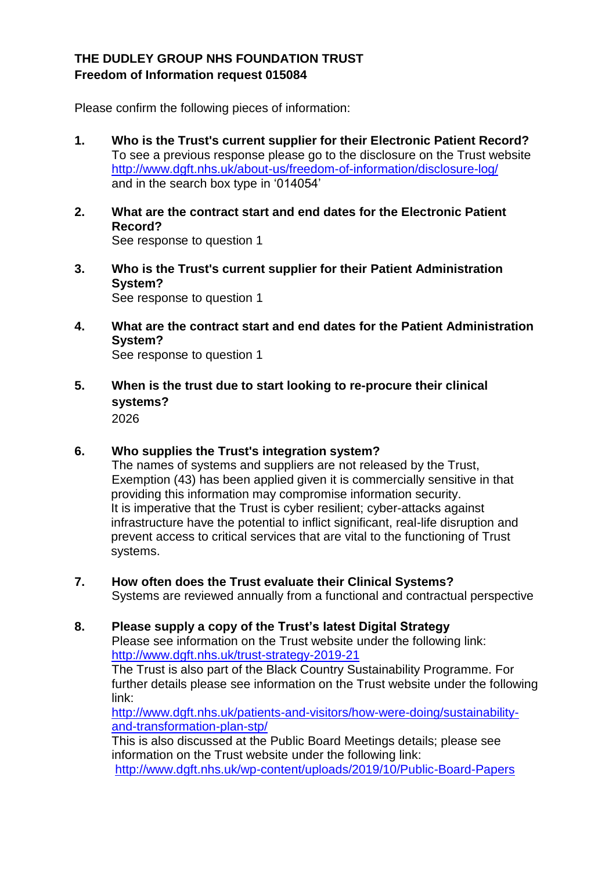## **THE DUDLEY GROUP NHS FOUNDATION TRUST Freedom of Information request 015084**

Please confirm the following pieces of information:

- **1. Who is the Trust's current supplier for their Electronic Patient Record?** To see a previous response please go to the disclosure on the Trust website <http://www.dgft.nhs.uk/about-us/freedom-of-information/disclosure-log/> and in the search box type in '014054'
- **2. What are the contract start and end dates for the Electronic Patient Record?** See response to question 1
- **3. Who is the Trust's current supplier for their Patient Administration System?** See response to question 1
- **4. What are the contract start and end dates for the Patient Administration System?** See response to question 1
- **5. When is the trust due to start looking to re-procure their clinical systems?** 2026
- **6. Who supplies the Trust's integration system?**

The names of systems and suppliers are not released by the Trust, Exemption (43) has been applied given it is commercially sensitive in that providing this information may compromise information security. It is imperative that the Trust is cyber resilient; cyber-attacks against infrastructure have the potential to inflict significant, real-life disruption and prevent access to critical services that are vital to the functioning of Trust systems.

- **7. How often does the Trust evaluate their Clinical Systems?** Systems are reviewed annually from a functional and contractual perspective
- **8. Please supply a copy of the Trust's latest Digital Strategy** Please see information on the Trust website under the following link: <http://www.dgft.nhs.uk/trust-strategy-2019-21> The Trust is also part of the Black Country Sustainability Programme. For further details please see information on the Trust website under the following link: [http://www.dgft.nhs.uk/patients-and-visitors/how-were-doing/sustainability](http://www.dgft.nhs.uk/patients-and-visitors/how-were-doing/sustainability-and-transformation-plan-stp/)[and-transformation-plan-stp/](http://www.dgft.nhs.uk/patients-and-visitors/how-were-doing/sustainability-and-transformation-plan-stp/)

This is also discussed at the Public Board Meetings details; please see information on the Trust website under the following link: <http://www.dgft.nhs.uk/wp-content/uploads/2019/10/Public-Board-Papers>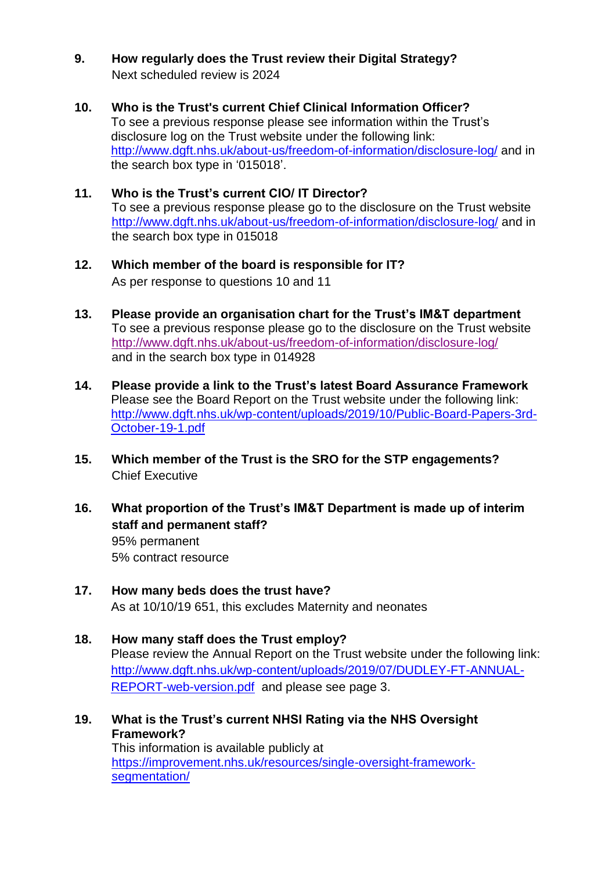- **9. How regularly does the Trust review their Digital Strategy?** Next scheduled review is 2024
- **10. Who is the Trust's current Chief Clinical Information Officer?** To see a previous response please see information within the Trust's disclosure log on the Trust website under the following link: <http://www.dgft.nhs.uk/about-us/freedom-of-information/disclosure-log/> and in the search box type in '015018'.
- **11. Who is the Trust's current CIO/ IT Director?** To see a previous response please go to the disclosure on the Trust website <http://www.dgft.nhs.uk/about-us/freedom-of-information/disclosure-log/> and in the search box type in 015018
- **12. Which member of the board is responsible for IT?** As per response to questions 10 and 11
- **13. Please provide an organisation chart for the Trust's IM&T department** To see a previous response please go to the disclosure on the Trust website <http://www.dgft.nhs.uk/about-us/freedom-of-information/disclosure-log/> and in the search box type in 014928
- **14. Please provide a link to the Trust's latest Board Assurance Framework** Please see the Board Report on the Trust website under the following link: [http://www.dgft.nhs.uk/wp-content/uploads/2019/10/Public-Board-Papers-3rd-](http://www.dgft.nhs.uk/wp-content/uploads/2019/10/Public-Board-Papers-3rd-October-19-1.pdf)[October-19-1.pdf](http://www.dgft.nhs.uk/wp-content/uploads/2019/10/Public-Board-Papers-3rd-October-19-1.pdf)
- **15. Which member of the Trust is the SRO for the STP engagements?** Chief Executive
- **16. What proportion of the Trust's IM&T Department is made up of interim staff and permanent staff?**  95% permanent 5% contract resource
- **17. How many beds does the trust have?** As at 10/10/19 651, this excludes Maternity and neonates
- **18. How many staff does the Trust employ?**  Please review the Annual Report on the Trust website under the following link: [http://www.dgft.nhs.uk/wp-content/uploads/2019/07/DUDLEY-FT-ANNUAL-](http://www.dgft.nhs.uk/wp-content/uploads/2019/07/DUDLEY-FT-ANNUAL-REPORT-web-version.pdf)[REPORT-web-version.pdf](http://www.dgft.nhs.uk/wp-content/uploads/2019/07/DUDLEY-FT-ANNUAL-REPORT-web-version.pdf) and please see page 3.
- **19. What is the Trust's current NHSI Rating via the NHS Oversight Framework?** This information is available publicly at [https://improvement.nhs.uk/resources/single-oversight-framework](https://improvement.nhs.uk/resources/single-oversight-framework-segmentation/)[segmentation/](https://improvement.nhs.uk/resources/single-oversight-framework-segmentation/)